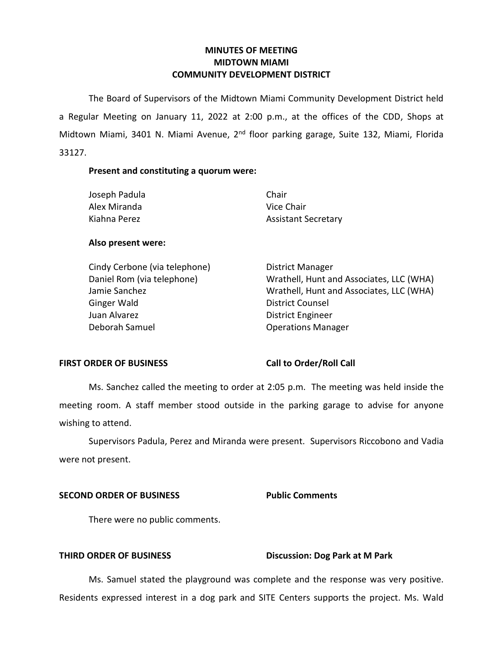# **MINUTES OF MEETING MIDTOWN MIAMI COMMUNITY DEVELOPMENT DISTRICT**

 The Board of Supervisors of the Midtown Miami Community Development District held a Regular Meeting on January 11, 2022 at 2:00 p.m., at the offices of the CDD, Shops at Midtown Miami, 3401 N. Miami Avenue, 2<sup>nd</sup> floor parking garage, Suite 132, Miami, Florida 33127.

# **Present and constituting a quorum were:**

| Chair                      |
|----------------------------|
| Vice Chair                 |
| <b>Assistant Secretary</b> |
|                            |

# **Also present were:**

| Cindy Cerbone (via telephone) | <b>District Manager</b>                  |
|-------------------------------|------------------------------------------|
| Daniel Rom (via telephone)    | Wrathell, Hunt and Associates, LLC (WHA) |
| Jamie Sanchez                 | Wrathell, Hunt and Associates, LLC (WHA) |
| Ginger Wald                   | <b>District Counsel</b>                  |
| Juan Alvarez                  | <b>District Engineer</b>                 |
| Deborah Samuel                | <b>Operations Manager</b>                |
|                               |                                          |

# FIRST ORDER OF BUSINESS Call to Order/Roll Call

 Ms. Sanchez called the meeting to order at 2:05 p.m. The meeting was held inside the wishing to attend. meeting room. A staff member stood outside in the parking garage to advise for anyone

 Supervisors Padula, Perez and Miranda were present. Supervisors Riccobono and Vadia were not present.

# **SECOND ORDER OF BUSINESS Public Comments**

There were no public comments.

# **THIRD ORDER OF BUSINESS** Discussion: Dog Park at M Park

Ms. Samuel stated the playground was complete and the response was very positive. Residents expressed interest in a dog park and SITE Centers supports the project. Ms. Wald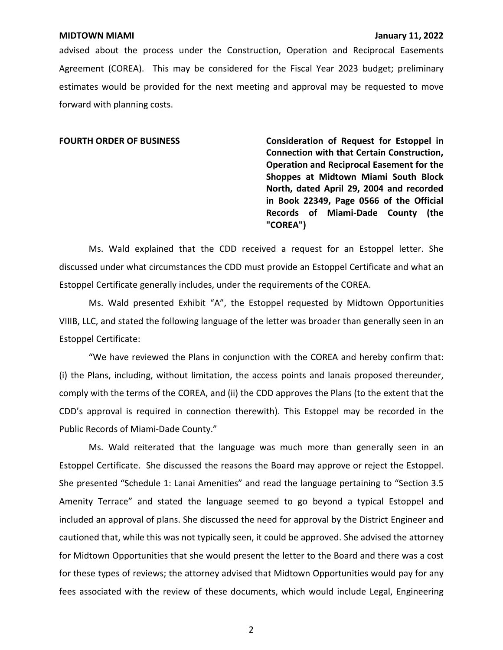advised about the process under the Construction, Operation and Reciprocal Easements Agreement (COREA). This may be considered for the Fiscal Year 2023 budget; preliminary estimates would be provided for the next meeting and approval may be requested to move forward with planning costs.

FOURTH ORDER OF BUSINESS **Consideration of Request for Estoppel in Connection with that Certain Construction, Operation and Reciprocal Easement for the Shoppes at Midtown Miami South Block North, dated April 29, 2004 and recorded in Book 22349, Page 0566 of the Official Records of Miami-Dade County (the "COREA")** 

Ms. Wald explained that the CDD received a request for an Estoppel letter. She discussed under what circumstances the CDD must provide an Estoppel Certificate and what an Estoppel Certificate generally includes, under the requirements of the COREA.

Ms. Wald presented Exhibit "A", the Estoppel requested by Midtown Opportunities VIIIB, LLC, and stated the following language of the letter was broader than generally seen in an Estoppel Certificate:

"We have reviewed the Plans in conjunction with the COREA and hereby confirm that: (i) the Plans, including, without limitation, the access points and lanais proposed thereunder, comply with the terms of the COREA, and (ii) the CDD approves the Plans (to the extent that the CDD's approval is required in connection therewith). This Estoppel may be recorded in the Public Records of Miami-Dade County."

Ms. Wald reiterated that the language was much more than generally seen in an Estoppel Certificate. She discussed the reasons the Board may approve or reject the Estoppel. She presented "Schedule 1: Lanai Amenities" and read the language pertaining to "Section 3.5 Amenity Terrace" and stated the language seemed to go beyond a typical Estoppel and included an approval of plans. She discussed the need for approval by the District Engineer and cautioned that, while this was not typically seen, it could be approved. She advised the attorney for Midtown Opportunities that she would present the letter to the Board and there was a cost for these types of reviews; the attorney advised that Midtown Opportunities would pay for any fees associated with the review of these documents, which would include Legal, Engineering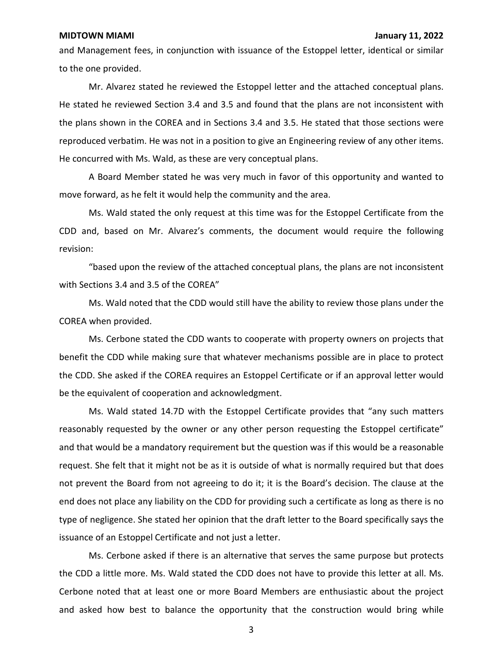and Management fees, in conjunction with issuance of the Estoppel letter, identical or similar to the one provided.

Mr. Alvarez stated he reviewed the Estoppel letter and the attached conceptual plans. He stated he reviewed Section 3.4 and 3.5 and found that the plans are not inconsistent with the plans shown in the COREA and in Sections 3.4 and 3.5. He stated that those sections were reproduced verbatim. He was not in a position to give an Engineering review of any other items. He concurred with Ms. Wald, as these are very conceptual plans.

A Board Member stated he was very much in favor of this opportunity and wanted to move forward, as he felt it would help the community and the area.

Ms. Wald stated the only request at this time was for the Estoppel Certificate from the CDD and, based on Mr. Alvarez's comments, the document would require the following revision:

"based upon the review of the attached conceptual plans, the plans are not inconsistent with Sections 3.4 and 3.5 of the COREA"

Ms. Wald noted that the CDD would still have the ability to review those plans under the COREA when provided.

Ms. Cerbone stated the CDD wants to cooperate with property owners on projects that benefit the CDD while making sure that whatever mechanisms possible are in place to protect the CDD. She asked if the COREA requires an Estoppel Certificate or if an approval letter would be the equivalent of cooperation and acknowledgment.

Ms. Wald stated 14.7D with the Estoppel Certificate provides that "any such matters reasonably requested by the owner or any other person requesting the Estoppel certificate" and that would be a mandatory requirement but the question was if this would be a reasonable request. She felt that it might not be as it is outside of what is normally required but that does not prevent the Board from not agreeing to do it; it is the Board's decision. The clause at the end does not place any liability on the CDD for providing such a certificate as long as there is no type of negligence. She stated her opinion that the draft letter to the Board specifically says the issuance of an Estoppel Certificate and not just a letter.

Ms. Cerbone asked if there is an alternative that serves the same purpose but protects the CDD a little more. Ms. Wald stated the CDD does not have to provide this letter at all. Ms. Cerbone noted that at least one or more Board Members are enthusiastic about the project and asked how best to balance the opportunity that the construction would bring while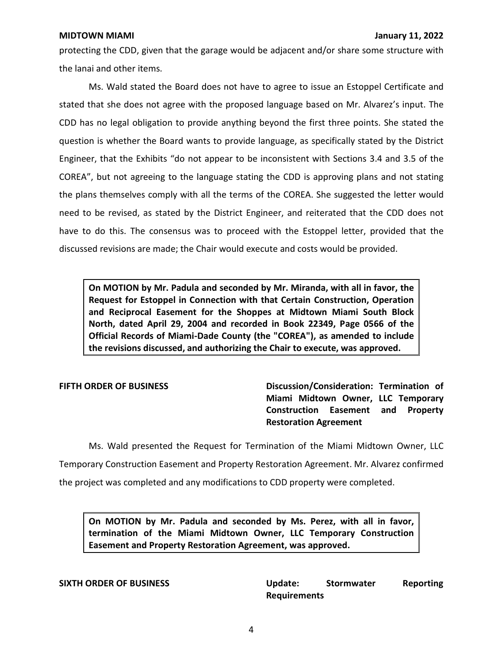protecting the CDD, given that the garage would be adjacent and/or share some structure with the lanai and other items.

Ms. Wald stated the Board does not have to agree to issue an Estoppel Certificate and stated that she does not agree with the proposed language based on Mr. Alvarez's input. The CDD has no legal obligation to provide anything beyond the first three points. She stated the question is whether the Board wants to provide language, as specifically stated by the District Engineer, that the Exhibits "do not appear to be inconsistent with Sections 3.4 and 3.5 of the COREA", but not agreeing to the language stating the CDD is approving plans and not stating the plans themselves comply with all the terms of the COREA. She suggested the letter would need to be revised, as stated by the District Engineer, and reiterated that the CDD does not have to do this. The consensus was to proceed with the Estoppel letter, provided that the discussed revisions are made; the Chair would execute and costs would be provided.

 **On MOTION by Mr. Padula and seconded by Mr. Miranda, with all in favor, the Request for Estoppel in Connection with that Certain Construction, Operation and Reciprocal Easement for the Shoppes at Midtown Miami South Block North, dated April 29, 2004 and recorded in Book 22349, Page 0566 of the Official Records of Miami-Dade County (the "COREA"), as amended to include the revisions discussed, and authorizing the Chair to execute, was approved.** 

**FIFTH ORDER OF BUSINESS** Discussion/Consideration: Termination of  **Miami Midtown Owner, LLC Temporary Construction Easement and Property Restoration Agreement** 

 Ms. Wald presented the Request for Termination of the Miami Midtown Owner, LLC Temporary Construction Easement and Property Restoration Agreement. Mr. Alvarez confirmed the project was completed and any modifications to CDD property were completed.

 **On MOTION by Mr. Padula and seconded by Ms. Perez, with all in favor, termination of the Miami Midtown Owner, LLC Temporary Construction Easement and Property Restoration Agreement, was approved.** 

**SIXTH ORDER OF BUSINESS Update: Stormwater Reporting Requirements**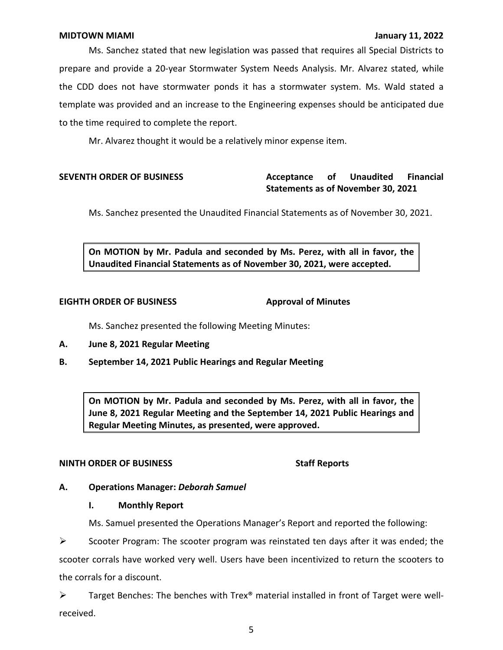Ms. Sanchez stated that new legislation was passed that requires all Special Districts to prepare and provide a 20-year Stormwater System Needs Analysis. Mr. Alvarez stated, while the CDD does not have stormwater ponds it has a stormwater system. Ms. Wald stated a template was provided and an increase to the Engineering expenses should be anticipated due to the time required to complete the report.

Mr. Alvarez thought it would be a relatively minor expense item.

# **Statements as of November 30, 2021 SEVENTH ORDER OF BUSINESS Acceptance of Unaudited Financial**

Ms. Sanchez presented the Unaudited Financial Statements as of November 30, 2021.

 **On MOTION by Mr. Padula and seconded by Ms. Perez, with all in favor, the Unaudited Financial Statements as of November 30, 2021, were accepted.** 

### **EIGHTH ORDER OF BUSINESS**

**Approval of Minutes** 

Ms. Sanchez presented the following Meeting Minutes:

- **A. June 8, 2021 Regular Meeting**
- **B. September 14, 2021 Public Hearings and Regular Meeting**

 **On MOTION by Mr. Padula and seconded by Ms. Perez, with all in favor, the June 8, 2021 Regular Meeting and the September 14, 2021 Public Hearings and Regular Meeting Minutes, as presented, were approved.** 

# **NINTH ORDER OF BUSINESS** Staff Reports

# **A. Operations Manager:** *Deborah Samuel*

# **I. Monthly Report**

Ms. Samuel presented the Operations Manager's Report and reported the following:

 $\triangleright$  Scooter Program: The scooter program was reinstated ten days after it was ended; the scooter corrals have worked very well. Users have been incentivized to return the scooters to the corrals for a discount.

➢ Target Benches: The benches with Trex® material installed in front of Target were wellreceived.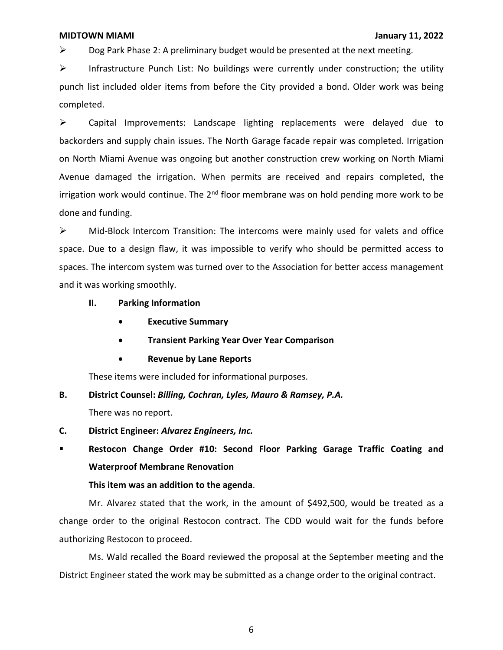$\triangleright$  Dog Park Phase 2: A preliminary budget would be presented at the next meeting.

➢ Infrastructure Punch List: No buildings were currently under construction; the utility punch list included older items from before the City provided a bond. Older work was being completed.

➢ Capital Improvements: Landscape lighting replacements were delayed due to backorders and supply chain issues. The North Garage facade repair was completed. Irrigation on North Miami Avenue was ongoing but another construction crew working on North Miami Avenue damaged the irrigation. When permits are received and repairs completed, the irrigation work would continue. The 2<sup>nd</sup> floor membrane was on hold pending more work to be done and funding.

 $\triangleright$  Mid-Block Intercom Transition: The intercoms were mainly used for valets and office space. Due to a design flaw, it was impossible to verify who should be permitted access to spaces. The intercom system was turned over to the Association for better access management and it was working smoothly.

- **II. Parking Information** 
	- **Executive Summary**
	- **Transient Parking Year Over Year Comparison**
	- **Revenue by Lane Reports**

These items were included for informational purposes.

# **B. District Counsel:** *Billing, Cochran, Lyles, Mauro & Ramsey, P.A.*

There was no report.

- **C. District Engineer:** *Alvarez Engineers, Inc.*
- **Restocon Change Order #10: Second Floor Parking Garage Traffic Coating and Waterproof Membrane Renovation**

# **This item was an addition to the agenda**.

Mr. Alvarez stated that the work, in the amount of \$492,500, would be treated as a change order to the original Restocon contract. The CDD would wait for the funds before authorizing Restocon to proceed.

Ms. Wald recalled the Board reviewed the proposal at the September meeting and the District Engineer stated the work may be submitted as a change order to the original contract.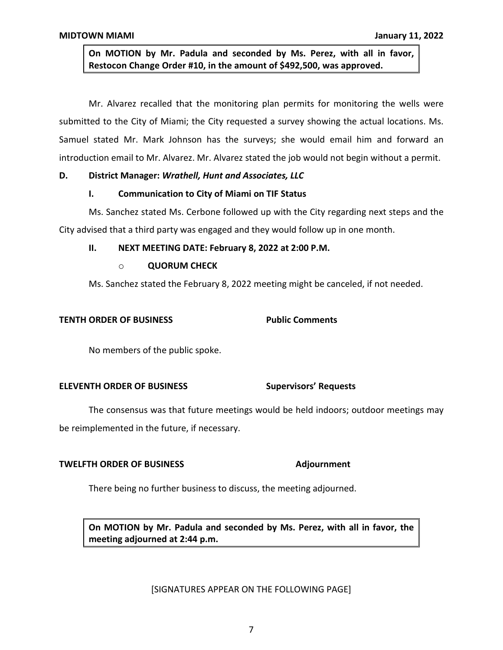**On MOTION by Mr. Padula and seconded by Ms. Perez, with all in favor, Restocon Change Order #10, in the amount of \$492,500, was approved.** 

Mr. Alvarez recalled that the monitoring plan permits for monitoring the wells were submitted to the City of Miami; the City requested a survey showing the actual locations. Ms. Samuel stated Mr. Mark Johnson has the surveys; she would email him and forward an introduction email to Mr. Alvarez. Mr. Alvarez stated the job would not begin without a permit.

# **D. District Manager:** *Wrathell, Hunt and Associates, LLC*

# **I. Communication to City of Miami on TIF Status**

Ms. Sanchez stated Ms. Cerbone followed up with the City regarding next steps and the City advised that a third party was engaged and they would follow up in one month.

## **II. NEXT MEETING DATE: February 8, 2022 at 2:00 P.M.**

# o **QUORUM CHECK**

Ms. Sanchez stated the February 8, 2022 meeting might be canceled, if not needed.

# **TENTH ORDER OF BUSINESS Public Comments**

No members of the public spoke.

# **ELEVENTH ORDER OF BUSINESS Supervisors' Requests**

The consensus was that future meetings would be held indoors; outdoor meetings may be reimplemented in the future, if necessary.

### **TWELFTH ORDER OF BUSINESS Adjournment**

There being no further business to discuss, the meeting adjourned.

 **On MOTION by Mr. Padula and seconded by Ms. Perez, with all in favor, the meeting adjourned at 2:44 p.m.** 

### [SIGNATURES APPEAR ON THE FOLLOWING PAGE]